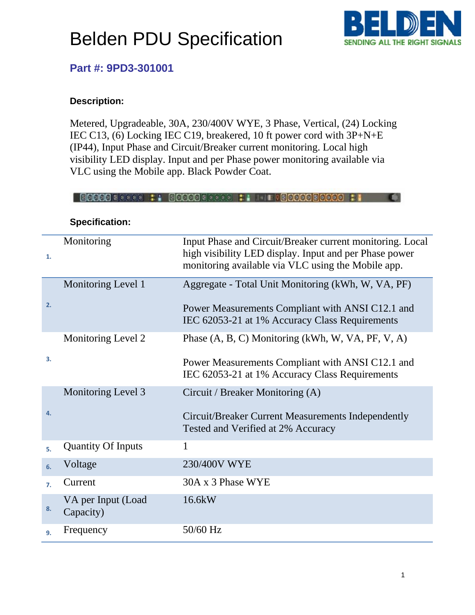

### **Part #: 9PD3-301001**

#### **Description:**

Metered, Upgradeable, 30A, 230/400V WYE, 3 Phase, Vertical, (24) Locking IEC C13, (6) Locking IEC C19, breakered, 10 ft power cord with 3P+N+E (IP44), Input Phase and Circuit/Breaker current monitoring. Local high visibility LED display. Input and per Phase power monitoring available via VLC using the Mobile app. Black Powder Coat.

**BOOOODGEGEGE TOOOOODGEGEGE TIETOOOOOOOOOOO FI** 

| 1.               | Monitoring                      | Input Phase and Circuit/Breaker current monitoring. Local<br>high visibility LED display. Input and per Phase power<br>monitoring available via VLC using the Mobile app. |  |
|------------------|---------------------------------|---------------------------------------------------------------------------------------------------------------------------------------------------------------------------|--|
|                  | Monitoring Level 1              | Aggregate - Total Unit Monitoring (kWh, W, VA, PF)                                                                                                                        |  |
| 2.               |                                 | Power Measurements Compliant with ANSI C12.1 and<br>IEC 62053-21 at 1% Accuracy Class Requirements                                                                        |  |
|                  | Monitoring Level 2              | Phase (A, B, C) Monitoring (kWh, W, VA, PF, V, A)                                                                                                                         |  |
| 3.               |                                 | Power Measurements Compliant with ANSI C12.1 and<br>IEC 62053-21 at 1% Accuracy Class Requirements                                                                        |  |
|                  | Monitoring Level 3              | Circuit / Breaker Monitoring (A)                                                                                                                                          |  |
| 4.               |                                 | Circuit/Breaker Current Measurements Independently<br>Tested and Verified at 2% Accuracy                                                                                  |  |
| 5.               | <b>Quantity Of Inputs</b>       | 1                                                                                                                                                                         |  |
| 6.               | Voltage                         | 230/400V WYE                                                                                                                                                              |  |
| $\overline{7}$ . | Current                         | 30A x 3 Phase WYE                                                                                                                                                         |  |
| 8.               | VA per Input (Load<br>Capacity) | 16.6kW                                                                                                                                                                    |  |
| 9.               | Frequency                       | 50/60 Hz                                                                                                                                                                  |  |

**Specification:**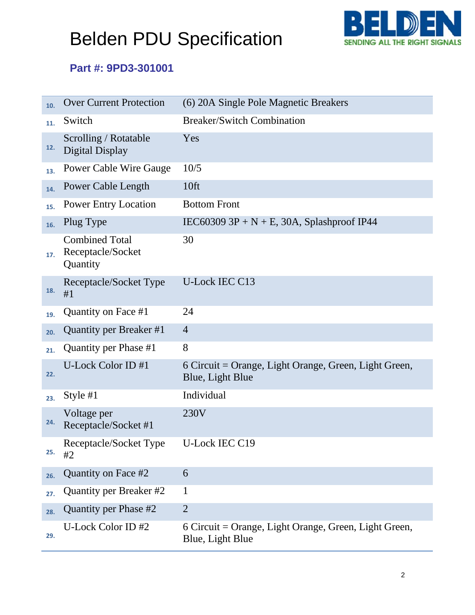

### **Part #: 9PD3-301001**

| 10. | <b>Over Current Protection</b>                         | (6) 20A Single Pole Magnetic Breakers                                     |
|-----|--------------------------------------------------------|---------------------------------------------------------------------------|
| 11. | Switch                                                 | <b>Breaker/Switch Combination</b>                                         |
| 12. | Scrolling / Rotatable<br>Digital Display               | Yes                                                                       |
| 13. | <b>Power Cable Wire Gauge</b>                          | 10/5                                                                      |
| 14. | Power Cable Length                                     | 10 <sup>ft</sup>                                                          |
| 15. | <b>Power Entry Location</b>                            | <b>Bottom Front</b>                                                       |
| 16. | Plug Type                                              | IEC60309 3P + N + E, 30A, Splashproof IP44                                |
| 17. | <b>Combined Total</b><br>Receptacle/Socket<br>Quantity | 30                                                                        |
| 18. | Receptacle/Socket Type<br>#1                           | <b>U-Lock IEC C13</b>                                                     |
| 19. | Quantity on Face #1                                    | 24                                                                        |
| 20. | Quantity per Breaker #1                                | $\overline{4}$                                                            |
| 21. | Quantity per Phase #1                                  | 8                                                                         |
| 22. | U-Lock Color ID #1                                     | 6 Circuit = Orange, Light Orange, Green, Light Green,<br>Blue, Light Blue |
| 23. | Style #1                                               | Individual                                                                |
| 24. | Voltage per<br>Receptacle/Socket #1                    | 230V                                                                      |
| 25. | Receptacle/Socket Type<br>#2                           | U-Lock IEC C19                                                            |
| 26. | Quantity on Face #2                                    | 6                                                                         |
| 27. | Quantity per Breaker #2                                | 1                                                                         |
| 28. | Quantity per Phase #2                                  | $\overline{2}$                                                            |
| 29. | U-Lock Color ID #2                                     | 6 Circuit = Orange, Light Orange, Green, Light Green,<br>Blue, Light Blue |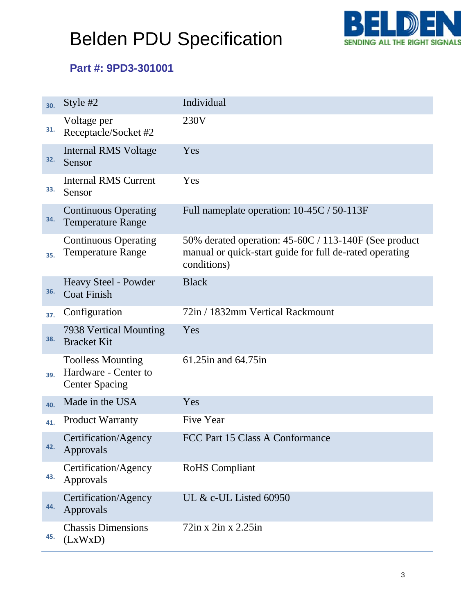

### **Part #: 9PD3-301001**

| 30. | Style #2                                                                  | Individual                                                                                                                      |
|-----|---------------------------------------------------------------------------|---------------------------------------------------------------------------------------------------------------------------------|
| 31. | Voltage per<br>Receptacle/Socket #2                                       | 230V                                                                                                                            |
| 32. | <b>Internal RMS Voltage</b><br>Sensor                                     | Yes                                                                                                                             |
| 33. | <b>Internal RMS Current</b><br>Sensor                                     | Yes                                                                                                                             |
| 34. | <b>Continuous Operating</b><br><b>Temperature Range</b>                   | Full nameplate operation: 10-45C / 50-113F                                                                                      |
| 35. | <b>Continuous Operating</b><br><b>Temperature Range</b>                   | 50% derated operation: 45-60C / 113-140F (See product<br>manual or quick-start guide for full de-rated operating<br>conditions) |
| 36. | Heavy Steel - Powder<br><b>Coat Finish</b>                                | <b>Black</b>                                                                                                                    |
| 37. | Configuration                                                             | 72in / 1832mm Vertical Rackmount                                                                                                |
| 38. | 7938 Vertical Mounting<br><b>Bracket Kit</b>                              | Yes                                                                                                                             |
| 39. | <b>Toolless Mounting</b><br>Hardware - Center to<br><b>Center Spacing</b> | 61.25 in and 64.75 in                                                                                                           |
| 40. | Made in the USA                                                           | Yes                                                                                                                             |
| 41. | <b>Product Warranty</b>                                                   | Five Year                                                                                                                       |
| 42. | Certification/Agency<br>Approvals                                         | FCC Part 15 Class A Conformance                                                                                                 |
| 43. | Certification/Agency<br>Approvals                                         | RoHS Compliant                                                                                                                  |
| 44. | Certification/Agency<br>Approvals                                         | UL $&c$ -UL Listed 60950                                                                                                        |
| 45. | <b>Chassis Dimensions</b><br>(LxWxD)                                      | $72$ in x $2$ in x $2.25$ in                                                                                                    |